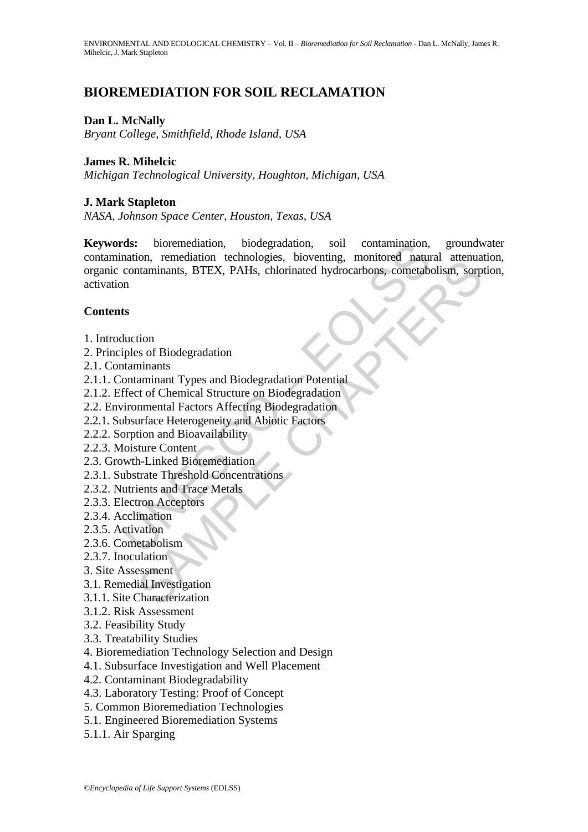# **BIOREMEDIATION FOR SOIL RECLAMATION**

#### **Dan L. McNally**

*Bryant College, Smithfield, Rhode Island, USA* 

#### **James R. Mihelcic**

*Michigan Technological University, Houghton, Michigan, USA* 

#### **J. Mark Stapleton**

*NASA, Johnson Space Center, Houston, Texas, USA*

rds: bioremediation, biodegradation, soil contamination,<br>nation, remediation technologies, bioventing, monitored natured<br>natural contaminants, BTEX, PAHs, chlorinated hydrocarbons, cometable<br>not<br>nition in the set of Gheore Moth, Tentenation Technologies, University, Information Centrolism, September 1978.<br>
That annihilar SFIEX, PAHs, chlorinated hydrocarbons, cometabolism, sorp<br>
ion<br>
minnants<br>
aminnant Types and Biodegradation Potential<br>
ami **Keywords:** bioremediation, biodegradation, soil contamination, groundwater contamination, remediation technologies, bioventing, monitored natural attenuation, organic contaminants, BTEX, PAHs, chlorinated hydrocarbons, cometabolism, sorption, activation

#### **Contents**

- 1. Introduction
- 2. Principles of Biodegradation
- 2.1. Contaminants
- 2.1.1. Contaminant Types and Biodegradation Potential
- 2.1.2. Effect of Chemical Structure on Biodegradation
- 2.2. Environmental Factors Affecting Biodegradation
- 2.2.1. Subsurface Heterogeneity and Abiotic Factors
- 2.2.2. Sorption and Bioavailability
- 2.2.3. Moisture Content
- 2.3. Growth-Linked Bioremediation
- 2.3.1. Substrate Threshold Concentrations
- 2.3.2. Nutrients and Trace Metals
- 2.3.3. Electron Acceptors
- 2.3.4. Acclimation
- 2.3.5. Activation
- 2.3.6. Cometabolism
- 2.3.7. Inoculation
- 3. Site Assessment
- 3.1. Remedial Investigation
- 3.1.1. Site Characterization
- 3.1.2. Risk Assessment
- 3.2. Feasibility Study
- 3.3. Treatability Studies
- 4. Bioremediation Technology Selection and Design
- 4.1. Subsurface Investigation and Well Placement
- 4.2. Contaminant Biodegradability
- 4.3. Laboratory Testing: Proof of Concept
- 5. Common Bioremediation Technologies
- 5.1. Engineered Bioremediation Systems
- 5.1.1. Air Sparging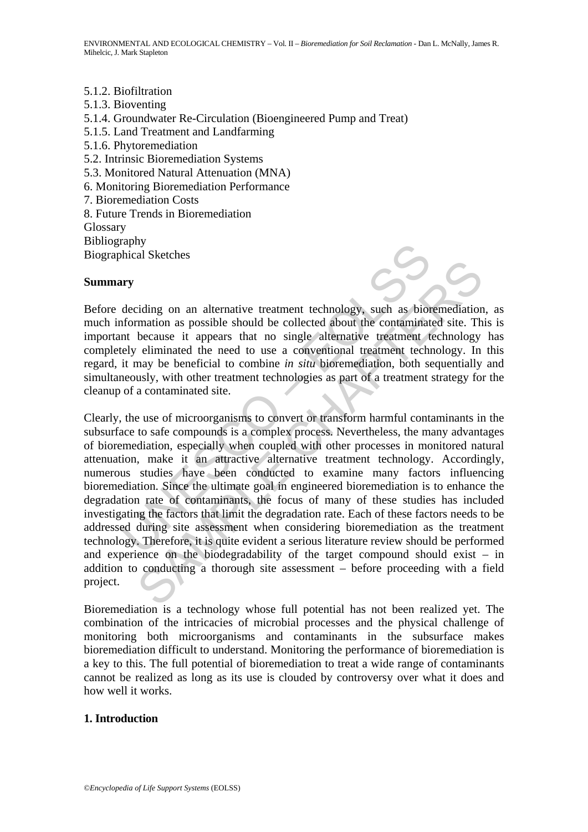- 5.1.2. Biofiltration
- 5.1.3. Bioventing 5.1.4. Groundwater Re-Circulation (Bioengineered Pump and Treat) 5.1.5. Land Treatment and Landfarming 5.1.6. Phytoremediation 5.2. Intrinsic Bioremediation Systems 5.3. Monitored Natural Attenuation (MNA) 6. Monitoring Bioremediation Performance 7. Bioremediation Costs 8. Future Trends in Bioremediation **Glossary** Bibliography Biographical Sketches

#### **Summary**



Before deciding on an alternative treatment technology, such as bioremediation, as much information as possible should be collected about the contaminated site. This is important because it appears that no single alternative treatment technology has completely eliminated the need to use a conventional treatment technology. In this regard, it may be beneficial to combine *in situ* bioremediation, both sequentially and simultaneously, with other treatment technologies as part of a treatment strategy for the cleanup of a contaminated site.

The Section and alternative transference of these studies are the sensible should be collected about the contamination as possible should be collected about the contamination of the contaminated the need to use a conventio an anternative treatment technology, such as bioremediation<br>mation as possible should be collected about the contaminated site. Th<br>because it appears that no single alternative treatment technology<br>eliminated the need to Clearly, the use of microorganisms to convert or transform harmful contaminants in the subsurface to safe compounds is a complex process. Nevertheless, the many advantages of bioremediation, especially when coupled with other processes in monitored natural attenuation, make it an attractive alternative treatment technology. Accordingly, numerous studies have been conducted to examine many factors influencing bioremediation. Since the ultimate goal in engineered bioremediation is to enhance the degradation rate of contaminants, the focus of many of these studies has included investigating the factors that limit the degradation rate. Each of these factors needs to be addressed during site assessment when considering bioremediation as the treatment technology. Therefore, it is quite evident a serious literature review should be performed and experience on the biodegradability of the target compound should exist – in addition to conducting a thorough site assessment – before proceeding with a field project.

Bioremediation is a technology whose full potential has not been realized yet. The combination of the intricacies of microbial processes and the physical challenge of monitoring both microorganisms and contaminants in the subsurface makes bioremediation difficult to understand. Monitoring the performance of bioremediation is a key to this. The full potential of bioremediation to treat a wide range of contaminants cannot be realized as long as its use is clouded by controversy over what it does and how well it works.

### **1. Introduction**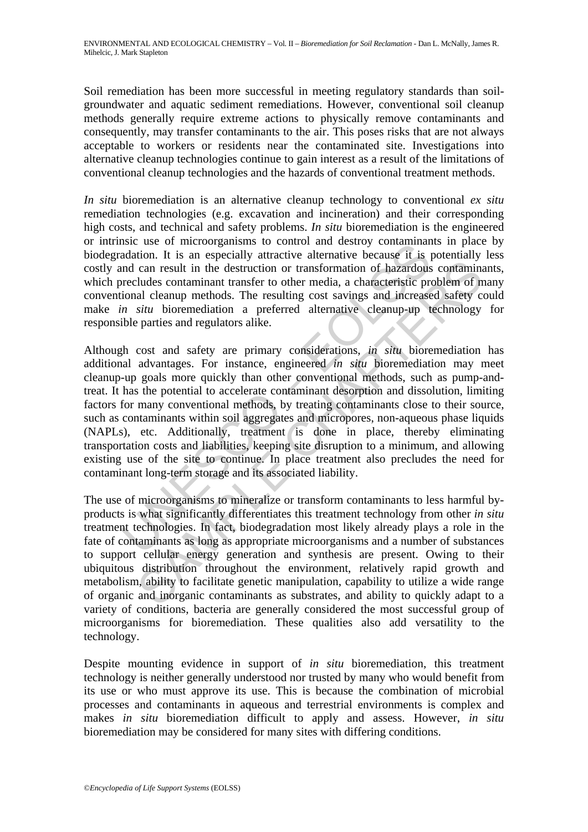Soil remediation has been more successful in meeting regulatory standards than soilgroundwater and aquatic sediment remediations. However, conventional soil cleanup methods generally require extreme actions to physically remove contaminants and consequently, may transfer contaminants to the air. This poses risks that are not always acceptable to workers or residents near the contaminated site. Investigations into alternative cleanup technologies continue to gain interest as a result of the limitations of conventional cleanup technologies and the hazards of conventional treatment methods.

*In situ* bioremediation is an alternative cleanup technology to conventional *ex situ* remediation technologies (e.g. excavation and incineration) and their corresponding high costs, and technical and safety problems. *In situ* bioremediation is the engineered or intrinsic use of microorganisms to control and destroy contaminants in place by biodegradation. It is an especially attractive alternative because it is potentially less costly and can result in the destruction or transformation of hazardous contaminants, which precludes contaminant transfer to other media, a characteristic problem of many conventional cleanup methods. The resulting cost savings and increased safety could make *in situ* bioremediation a preferred alternative cleanup-up technology for responsible parties and regulators alike.

SISTE USE of micrologialisms to countor and uses<br>and dation. It is an especially attractive alternative because it is jumpled<br>and can result in the destruction or transformation of hazardous<br>recludes contaminant transfer t can result in the destruction or transformation of hazardous contaminated<br>are can result in the destruction or transformation of hazardous contaminated<br>uldes contaminant transfer to other media, a characteristic problem o Although cost and safety are primary considerations, *in situ* bioremediation has additional advantages. For instance, engineered *in situ* bioremediation may meet cleanup-up goals more quickly than other conventional methods, such as pump-andtreat. It has the potential to accelerate contaminant desorption and dissolution, limiting factors for many conventional methods, by treating contaminants close to their source, such as contaminants within soil aggregates and micropores, non-aqueous phase liquids (NAPLs), etc. Additionally, treatment is done in place, thereby eliminating transportation costs and liabilities, keeping site disruption to a minimum, and allowing existing use of the site to continue. In place treatment also precludes the need for contaminant long-term storage and its associated liability.

The use of microorganisms to mineralize or transform contaminants to less harmful byproducts is what significantly differentiates this treatment technology from other *in situ* treatment technologies. In fact, biodegradation most likely already plays a role in the fate of contaminants as long as appropriate microorganisms and a number of substances to support cellular energy generation and synthesis are present. Owing to their ubiquitous distribution throughout the environment, relatively rapid growth and metabolism, ability to facilitate genetic manipulation, capability to utilize a wide range of organic and inorganic contaminants as substrates, and ability to quickly adapt to a variety of conditions, bacteria are generally considered the most successful group of microorganisms for bioremediation. These qualities also add versatility to the technology.

Despite mounting evidence in support of *in situ* bioremediation, this treatment technology is neither generally understood nor trusted by many who would benefit from its use or who must approve its use. This is because the combination of microbial processes and contaminants in aqueous and terrestrial environments is complex and makes *in situ* bioremediation difficult to apply and assess. However, *in situ* bioremediation may be considered for many sites with differing conditions.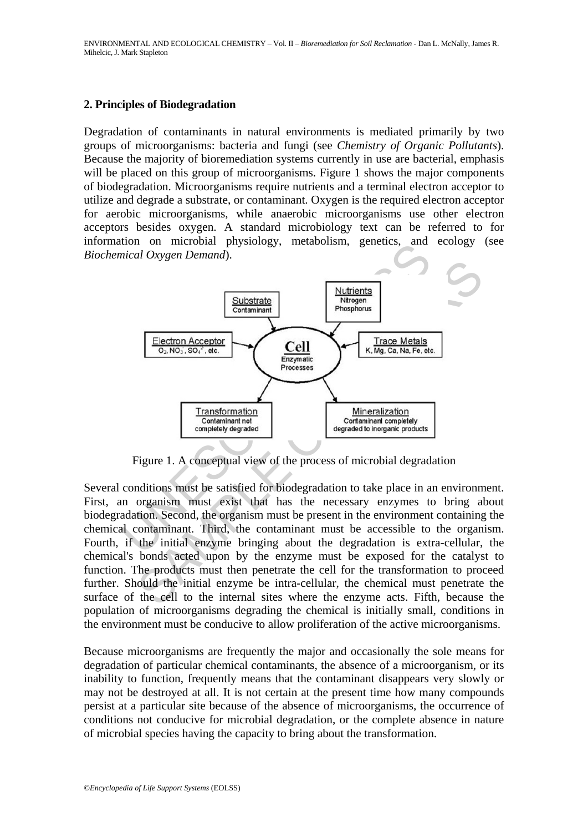#### **2. Principles of Biodegradation**

Degradation of contaminants in natural environments is mediated primarily by two groups of microorganisms: bacteria and fungi (see *Chemistry of Organic Pollutants*). Because the majority of bioremediation systems currently in use are bacterial, emphasis will be placed on this group of microorganisms. Figure 1 shows the major components of biodegradation. Microorganisms require nutrients and a terminal electron acceptor to utilize and degrade a substrate, or contaminant. Oxygen is the required electron acceptor for aerobic microorganisms, while anaerobic microorganisms use other electron acceptors besides oxygen. A standard microbiology text can be referred to for information on microbial physiology, metabolism, genetics, and ecology (see *Biochemical Oxygen Demand*).



Figure 1. A conceptual view of the process of microbial degradation

Several conditions must be satisfied for biodegradation to take place in an environment. First, an organism must exist that has the necessary enzymes to bring about biodegradation. Second, the organism must be present in the environment containing the chemical contaminant. Third, the contaminant must be accessible to the organism. Fourth, if the initial enzyme bringing about the degradation is extra-cellular, the chemical's bonds acted upon by the enzyme must be exposed for the catalyst to function. The products must then penetrate the cell for the transformation to proceed further. Should the initial enzyme be intra-cellular, the chemical must penetrate the surface of the cell to the internal sites where the enzyme acts. Fifth, because the population of microorganisms degrading the chemical is initially small, conditions in the environment must be conducive to allow proliferation of the active microorganisms.

Because microorganisms are frequently the major and occasionally the sole means for degradation of particular chemical contaminants, the absence of a microorganism, or its inability to function, frequently means that the contaminant disappears very slowly or may not be destroyed at all. It is not certain at the present time how many compounds persist at a particular site because of the absence of microorganisms, the occurrence of conditions not conducive for microbial degradation, or the complete absence in nature of microbial species having the capacity to bring about the transformation.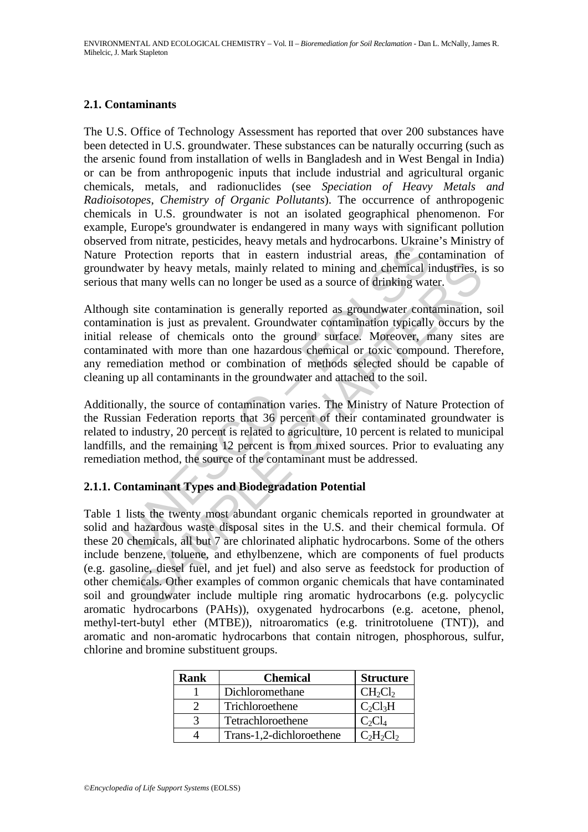# **2.1. Contaminants**

The U.S. Office of Technology Assessment has reported that over 200 substances have been detected in U.S. groundwater. These substances can be naturally occurring (such as the arsenic found from installation of wells in Bangladesh and in West Bengal in India) or can be from anthropogenic inputs that include industrial and agricultural organic chemicals, metals, and radionuclides (see *Speciation of Heavy Metals and Radioisotopes*, *Chemistry of Organic Pollutants*). The occurrence of anthropogenic chemicals in U.S. groundwater is not an isolated geographical phenomenon. For example, Europe's groundwater is endangered in many ways with significant pollution observed from nitrate, pesticides, heavy metals and hydrocarbons. Ukraine's Ministry of Nature Protection reports that in eastern industrial areas, the contamination of groundwater by heavy metals, mainly related to mining and chemical industries, is so serious that many wells can no longer be used as a source of drinking water.

a nonimizate, pessicutes, neavy metast and nyalocalous. Oxidam<br>Protection reports that in eastern industrial areas, the convater by heavy metals, mainly related to mining and ehemical in<br>that many wells can no longer be us Although site contamination is generally reported as groundwater contamination, soil contamination is just as prevalent. Groundwater contamination typically occurs by the initial release of chemicals onto the ground surface. Moreover, many sites are contaminated with more than one hazardous chemical or toxic compound. Therefore, any remediation method or combination of methods selected should be capable of cleaning up all contaminants in the groundwater and attached to the soil.

Additionally, the source of contamination varies. The Ministry of Nature Protection of the Russian Federation reports that 36 percent of their contaminated groundwater is related to industry, 20 percent is related to agriculture, 10 percent is related to municipal landfills, and the remaining 12 percent is from mixed sources. Prior to evaluating any remediation method, the source of the contaminant must be addressed.

### **2.1.1. Contaminant Types and Biodegradation Potential**

For by heavy metals, mainly related to mining and chemical industries, if many wells can no longer be used as a source of drinking water.<br>
site contamination is generally reported as groundwater contamination,<br>
site contam Table 1 lists the twenty most abundant organic chemicals reported in groundwater at solid and hazardous waste disposal sites in the U.S. and their chemical formula. Of these 20 chemicals, all but 7 are chlorinated aliphatic hydrocarbons. Some of the others include benzene, toluene, and ethylbenzene, which are components of fuel products (e.g. gasoline, diesel fuel, and jet fuel) and also serve as feedstock for production of other chemicals. Other examples of common organic chemicals that have contaminated soil and groundwater include multiple ring aromatic hydrocarbons (e.g. polycyclic aromatic hydrocarbons (PAHs)), oxygenated hydrocarbons (e.g. acetone, phenol, methyl-tert-butyl ether (MTBE)), nitroaromatics (e.g. trinitrotoluene (TNT)), and aromatic and non-aromatic hydrocarbons that contain nitrogen, phosphorous, sulfur, chlorine and bromine substituent groups.

| <b>Rank</b> | <b>Chemical</b>          | <b>Structure</b> |
|-------------|--------------------------|------------------|
|             | Dichloromethane          | $CH_2Cl_2$       |
|             | Trichloroethene          | $C_2Cl_3H$       |
|             | Tetrachloroethene        | $C_2CL$          |
|             | Trans-1,2-dichloroethene | $C_2H_2Cl_2$     |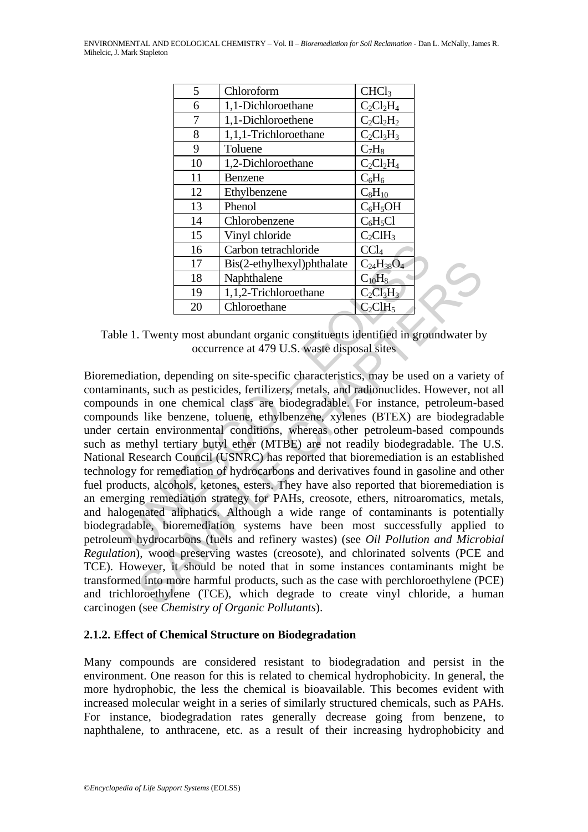| 5  | Chloroform                 | CHCl <sub>3</sub> |
|----|----------------------------|-------------------|
| 6  | 1,1-Dichloroethane         | $C_2Cl_2H_4$      |
| 7  | 1,1-Dichloroethene         | $C_2Cl_2H_2$      |
| 8  | 1,1,1-Trichloroethane      | $C_2Cl_3H_3$      |
| 9  | Toluene                    | $C_7H_8$          |
| 10 | 1,2-Dichloroethane         | $C_2Cl_2H_4$      |
| 11 | Benzene                    | $C_6H_6$          |
| 12 | Ethylbenzene               | $C_8H_{10}$       |
| 13 | Phenol                     | $C_6H_5OH$        |
| 14 | Chlorobenzene              | $C_6H_5Cl$        |
| 15 | Vinyl chloride             | $C_2CH_3$         |
| 16 | Carbon tetrachloride       | CCl <sub>4</sub>  |
| 17 | Bis(2-ethylhexyl)phthalate | $C_{24}H_{38}O_4$ |
| 18 | Naphthalene                | $C_{10}H_8$       |
| 19 | 1,1,2-Trichloroethane      | $C_2Cl_3H_3$      |
| 20 | Chloroethane               | $C_2CH_5$         |

Table 1. Twenty most abundant organic constituents identified in groundwater by occurrence at 479 U.S. waste disposal sites

16 Carbon tetrachloride CCl<sub>4</sub><br>
17 Bis(2-ethylhexyl)phthalate C<sub>24</sub>H<sub>38</sub>O<sub>4</sub><br>
18 Naphthalene C<sub>10</sub>H<sub>8</sub><br>
19 1,1,2-Trichloroethane C<sub>10</sub>H<sub>8</sub><br>
20 Chloroethane C<sub>2</sub>CH<sub>3</sub>H<sub>3</sub><br>
20 Chloroethane C<sub>2</sub>CH<sub>3</sub>H<sub>3</sub><br>
et 1. Twenty most a 17 Bis(2-ethylhexyl)phthalate  $C_{24}H_{38}O_4$ <br>
18 Naphthalene<br>
19 1,1,2-Trichloroethane  $C_{16}H_8$ <br>
19 1,1,2-Trichloroethane  $C_{2C}H_5$ <br>
20 Chloroethane  $C_{2C}H_8$ <br>
20 Chloroethane  $C_{2C}H_8$ <br>
19  $C_{2C}H_9$ <br>
20 Chloroetha Bioremediation, depending on site-specific characteristics, may be used on a variety of contaminants, such as pesticides, fertilizers, metals, and radionuclides. However, not all compounds in one chemical class are biodegradable. For instance, petroleum-based compounds like benzene, toluene, ethylbenzene, xylenes (BTEX) are biodegradable under certain environmental conditions, whereas other petroleum-based compounds such as methyl tertiary butyl ether (MTBE) are not readily biodegradable. The U.S. National Research Council (USNRC) has reported that bioremediation is an established technology for remediation of hydrocarbons and derivatives found in gasoline and other fuel products, alcohols, ketones, esters. They have also reported that bioremediation is an emerging remediation strategy for PAHs, creosote, ethers, nitroaromatics, metals, and halogenated aliphatics. Although a wide range of contaminants is potentially biodegradable, bioremediation systems have been most successfully applied to petroleum hydrocarbons (fuels and refinery wastes) (see *Oil Pollution and Microbial Regulation*), wood preserving wastes (creosote), and chlorinated solvents (PCE and TCE). However, it should be noted that in some instances contaminants might be transformed into more harmful products, such as the case with perchloroethylene (PCE) and trichloroethylene (TCE), which degrade to create vinyl chloride, a human carcinogen (see *Chemistry of Organic Pollutants*).

### **2.1.2. Effect of Chemical Structure on Biodegradation**

Many compounds are considered resistant to biodegradation and persist in the environment. One reason for this is related to chemical hydrophobicity. In general, the more hydrophobic, the less the chemical is bioavailable. This becomes evident with increased molecular weight in a series of similarly structured chemicals, such as PAHs. For instance, biodegradation rates generally decrease going from benzene, to naphthalene, to anthracene, etc. as a result of their increasing hydrophobicity and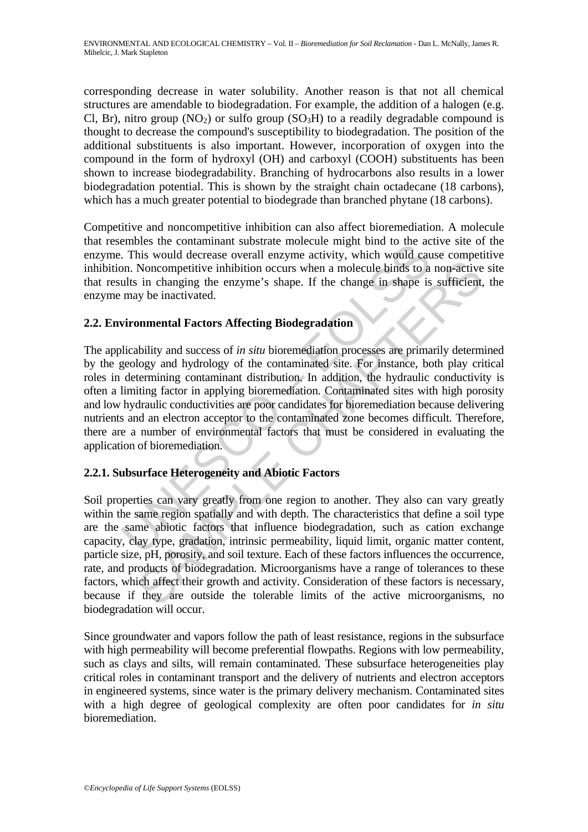corresponding decrease in water solubility. Another reason is that not all chemical structures are amendable to biodegradation. For example, the addition of a halogen (e.g. Cl, Br), nitro group (NO<sub>2</sub>) or sulfo group (SO<sub>3</sub>H) to a readily degradable compound is thought to decrease the compound's susceptibility to biodegradation. The position of the additional substituents is also important. However, incorporation of oxygen into the compound in the form of hydroxyl (OH) and carboxyl (COOH) substituents has been shown to increase biodegradability. Branching of hydrocarbons also results in a lower biodegradation potential. This is shown by the straight chain octadecane (18 carbons), which has a much greater potential to biodegrade than branched phytane (18 carbons).

Competitive and noncompetitive inhibition can also affect bioremediation. A molecule that resembles the contaminant substrate molecule might bind to the active site of the enzyme. This would decrease overall enzyme activity, which would cause competitive inhibition. Noncompetitive inhibition occurs when a molecule binds to a non-active site that results in changing the enzyme's shape. If the change in shape is sufficient, the enzyme may be inactivated.

# **2.2. Environmental Factors Affecting Biodegradation**

Ennotes the containmant substant mobus and more and the same contained more on. Noncompetitive inhibition occurs when a molecule binds to a ults in changing the enzyme's shape. If the change in shape is may be inactivated. The applicability and success of *in situ* bioremediation processes are primarily determined by the geology and hydrology of the contaminated site. For instance, both play critical roles in determining contaminant distribution. In addition, the hydraulic conductivity is often a limiting factor in applying bioremediation. Contaminated sites with high porosity and low hydraulic conductivities are poor candidates for bioremediation because delivering nutrients and an electron acceptor to the contaminated zone becomes difficult. Therefore, there are a number of environmental factors that must be considered in evaluating the application of bioremediation.

# **2.2.1. Subsurface Heterogeneity and Abiotic Factors**

Moncompetitive inhibition occurs when a molecule binds to a non-active<br>in changing the enzyme's shape. If the change in shape is sufficient,<br>is in changing the enzyme's shape. If the change in shape is sufficient,<br>ty be i Soil properties can vary greatly from one region to another. They also can vary greatly within the same region spatially and with depth. The characteristics that define a soil type are the same abiotic factors that influence biodegradation, such as cation exchange capacity, clay type, gradation, intrinsic permeability, liquid limit, organic matter content, particle size, pH, porosity, and soil texture. Each of these factors influences the occurrence, rate, and products of biodegradation. Microorganisms have a range of tolerances to these factors, which affect their growth and activity. Consideration of these factors is necessary, because if they are outside the tolerable limits of the active microorganisms, no biodegradation will occur.

Since groundwater and vapors follow the path of least resistance, regions in the subsurface with high permeability will become preferential flowpaths. Regions with low permeability, such as clays and silts, will remain contaminated. These subsurface heterogeneities play critical roles in contaminant transport and the delivery of nutrients and electron acceptors in engineered systems, since water is the primary delivery mechanism. Contaminated sites with a high degree of geological complexity are often poor candidates for *in situ* bioremediation.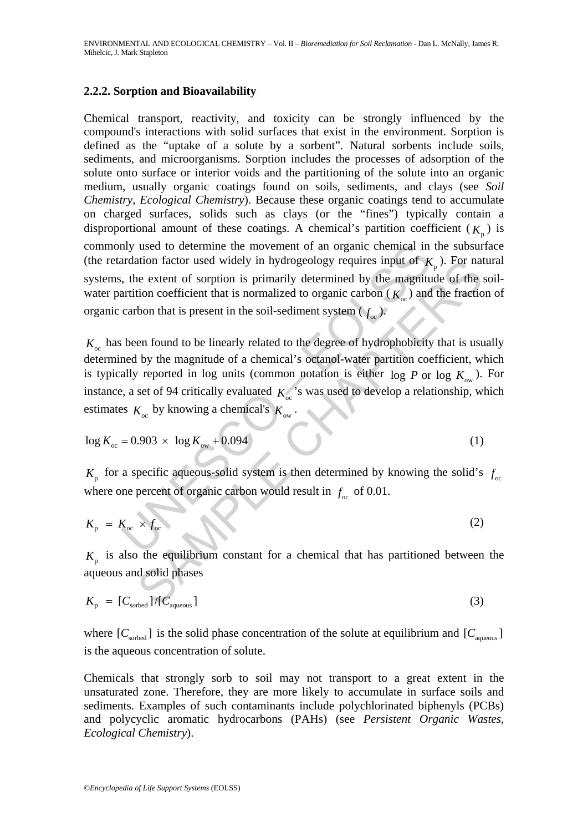### **2.2.2. Sorption and Bioavailability**

Chemical transport, reactivity, and toxicity can be strongly influenced by the compound's interactions with solid surfaces that exist in the environment. Sorption is defined as the "uptake of a solute by a sorbent". Natural sorbents include soils, sediments, and microorganisms. Sorption includes the processes of adsorption of the solute onto surface or interior voids and the partitioning of the solute into an organic medium, usually organic coatings found on soils, sediments, and clays (see *Soil Chemistry*, *Ecological Chemistry*). Because these organic coatings tend to accumulate on charged surfaces, solids such as clays (or the "fines") typically contain a disproportional amount of these coatings. A chemical's partition coefficient  $(K_n)$  is commonly used to determine the movement of an organic chemical in the subsurface (the retardation factor used widely in hydrogeology requires input of  $K_p$ ). For natural systems, the extent of sorption is primarily determined by the magnitude of the soilwater partition coefficient that is normalized to organic carbon  $(K_{\infty})$  and the fraction of organic carbon that is present in the soil-sediment system  $(f_{\infty})$ .

many used to determine the movement of an organic chemical in<br>ardation factor used widely in hydrogeology requires input of  $K$ ,<br>the extent of sorption is primarily determined by the magnitu<br>artition coefficient that is n ation factor used widely in hydrogeology requires input of  $K_p$ ). For nate extent of sorption is primarily determined by the magnitude of the tion coefficient that is normalized to organic carbon  $(K_{\infty})$  and the fractio  $K_{\infty}$  has been found to be linearly related to the degree of hydrophobicity that is usually determined by the magnitude of a chemical's octanol-water partition coefficient, which is typically reported in log units (common notation is either  $\log P$  or  $\log K_{\infty}$ ). For instance, a set of 94 critically evaluated  $K_{\infty}$ 's was used to develop a relationship, which estimates  $K_{\infty}$  by knowing a chemical's  $K_{\infty}$ .

$$
\log K_{\infty} = 0.903 \times \log K_{\infty} + 0.094
$$
 (1)

 $K_p$  for a specific aqueous-solid system is then determined by knowing the solid's  $f_{oc}$ where one percent of organic carbon would result in  $f_{\alpha}$  of 0.01.

$$
K_{\rm p} = K_{\rm oc} \times f_{\rm oc} \tag{2}
$$

 $K<sub>n</sub>$  is also the equilibrium constant for a chemical that has partitioned between the aqueous and solid phases

$$
K_{\rm p} = [C_{\rm sorted}]/[C_{\rm aqueous}] \tag{3}
$$

where  $[C_{\text{sorted}}]$  is the solid phase concentration of the solute at equilibrium and  $[C_{\text{aqueous}}]$ is the aqueous concentration of solute.

Chemicals that strongly sorb to soil may not transport to a great extent in the unsaturated zone. Therefore, they are more likely to accumulate in surface soils and sediments. Examples of such contaminants include polychlorinated biphenyls (PCBs) and polycyclic aromatic hydrocarbons (PAHs) (see *Persistent Organic Wastes*, *Ecological Chemistry*).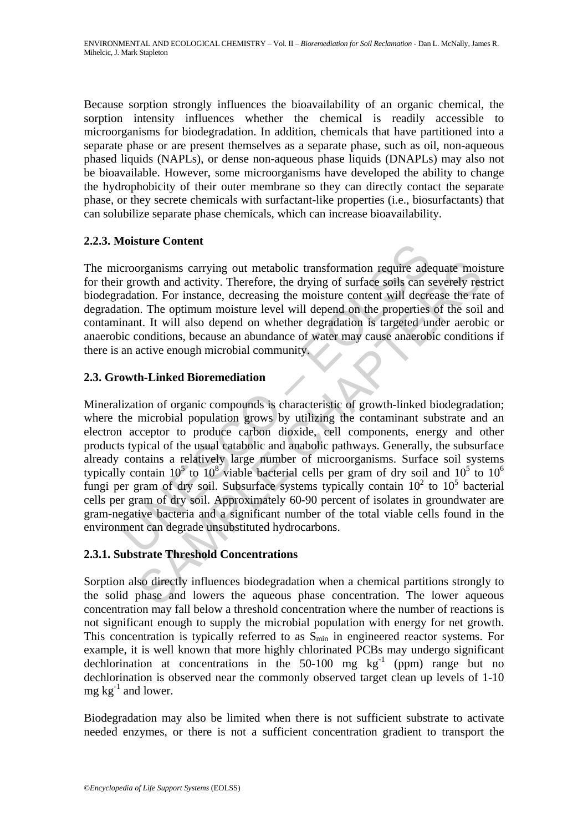Because sorption strongly influences the bioavailability of an organic chemical, the sorption intensity influences whether the chemical is readily accessible to microorganisms for biodegradation. In addition, chemicals that have partitioned into a separate phase or are present themselves as a separate phase, such as oil, non-aqueous phased liquids (NAPLs), or dense non-aqueous phase liquids (DNAPLs) may also not be bioavailable. However, some microorganisms have developed the ability to change the hydrophobicity of their outer membrane so they can directly contact the separate phase, or they secrete chemicals with surfactant-like properties (i.e., biosurfactants) that can solubilize separate phase chemicals, which can increase bioavailability.

# **2.2.3. Moisture Content**

The microorganisms carrying out metabolic transformation require adequate moisture for their growth and activity. Therefore, the drying of surface soils can severely restrict biodegradation. For instance, decreasing the moisture content will decrease the rate of degradation. The optimum moisture level will depend on the properties of the soil and contaminant. It will also depend on whether degradation is targeted under aerobic or anaerobic conditions, because an abundance of water may cause anaerobic conditions if there is an active enough microbial community.

# **2.3. Growth-Linked Bioremediation**

France Content expectively. Therefore, the distant and a significant region of the total visitors.<br>
Therefore, the divided of the properties and activity. Therefore, the drying of surface soils can salation. For instance, organisms carrying out metabolic transformation require adequate mois<br>cowth and activity. Therefore, the drying of surface soils can severely resp.<br>in. The instance, decreasing the moisture content will decrease the rat<br>i Mineralization of organic compounds is characteristic of growth-linked biodegradation; where the microbial population grows by utilizing the contaminant substrate and an electron acceptor to produce carbon dioxide, cell components, energy and other products typical of the usual catabolic and anabolic pathways. Generally, the subsurface already contains a relatively large number of microorganisms. Surface soil systems typically contain  $10^5$  to  $10^8$  viable bacterial cells per gram of dry soil and  $10^5$  to  $10^6$ fungi per gram of dry soil. Subsurface systems typically contain  $10^2$  to  $10^5$  bacterial cells per gram of dry soil. Approximately 60-90 percent of isolates in groundwater are gram-negative bacteria and a significant number of the total viable cells found in the environment can degrade unsubstituted hydrocarbons.

# **2.3.1. Substrate Threshold Concentrations**

Sorption also directly influences biodegradation when a chemical partitions strongly to the solid phase and lowers the aqueous phase concentration. The lower aqueous concentration may fall below a threshold concentration where the number of reactions is not significant enough to supply the microbial population with energy for net growth. This concentration is typically referred to as  $S_{\text{min}}$  in engineered reactor systems. For example, it is well known that more highly chlorinated PCBs may undergo significant dechlorination at concentrations in the  $50-100$  mg kg<sup>-1</sup> (ppm) range but no dechlorination is observed near the commonly observed target clean up levels of 1-10 mg  $kg^{-1}$  and lower.

Biodegradation may also be limited when there is not sufficient substrate to activate needed enzymes, or there is not a sufficient concentration gradient to transport the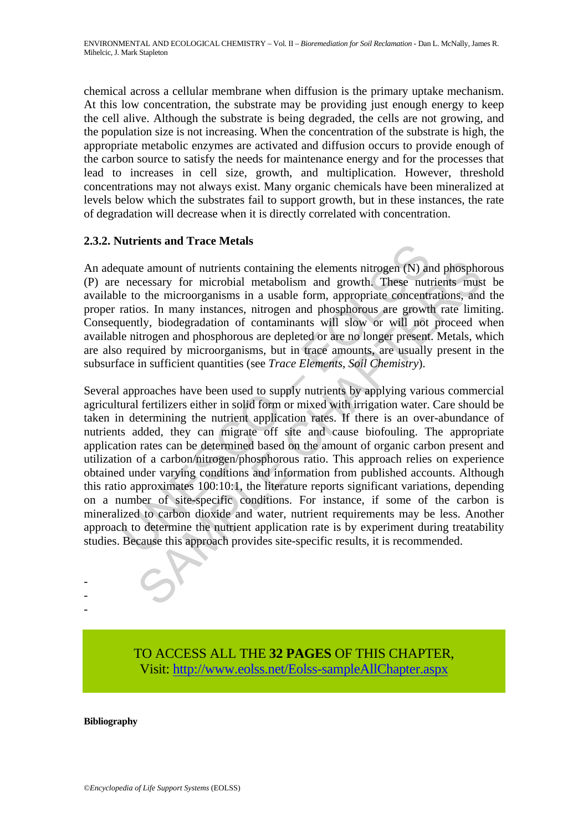chemical across a cellular membrane when diffusion is the primary uptake mechanism. At this low concentration, the substrate may be providing just enough energy to keep the cell alive. Although the substrate is being degraded, the cells are not growing, and the population size is not increasing. When the concentration of the substrate is high, the appropriate metabolic enzymes are activated and diffusion occurs to provide enough of the carbon source to satisfy the needs for maintenance energy and for the processes that lead to increases in cell size, growth, and multiplication. However, threshold concentrations may not always exist. Many organic chemicals have been mineralized at levels below which the substrates fail to support growth, but in these instances, the rate of degradation will decrease when it is directly correlated with concentration.

### **2.3.2. Nutrients and Trace Metals**

An adequate amount of nutrients containing the elements nitrogen (N) and phosphorous (P) are necessary for microbial metabolism and growth. These nutrients must be available to the microorganisms in a usable form, appropriate concentrations, and the proper ratios. In many instances, nitrogen and phosphorous are growth rate limiting. Consequently, biodegradation of contaminants will slow or will not proceed when available nitrogen and phosphorous are depleted or are no longer present. Metals, which are also required by microorganisms, but in trace amounts, are usually present in the subsurface in sufficient quantities (see *Trace Elements*, *Soil Chemistry*).

quate amount of nutrients show and accretions<br>quate amount of nutrients containing the elements nitrogen (N) an<br>necessary for microbial metabolism and growth. These nut<br>to to the microorganisms in a usable form, appropriat te amount of nutrients containing the elements nitrogen (N) and phospho<br>ccessary for microbial metabolism and growth. These nutrients muss<br>of the microorganisms in a usable form, appropriate concentrations, and<br>os. In many Several approaches have been used to supply nutrients by applying various commercial agricultural fertilizers either in solid form or mixed with irrigation water. Care should be taken in determining the nutrient application rates. If there is an over-abundance of nutrients added, they can migrate off site and cause biofouling. The appropriate application rates can be determined based on the amount of organic carbon present and utilization of a carbon/nitrogen/phosphorous ratio. This approach relies on experience obtained under varying conditions and information from published accounts. Although this ratio approximates 100:10:1, the literature reports significant variations, depending on a number of site-specific conditions. For instance, if some of the carbon is mineralized to carbon dioxide and water, nutrient requirements may be less. Another approach to determine the nutrient application rate is by experiment during treatability studies. Because this approach provides site-specific results, it is recommended.

> TO ACCESS ALL THE **32 PAGES** OF THIS CHAPTER, Visi[t: http://www.eolss.net/Eolss-sampleAllChapter.aspx](https://www.eolss.net/ebooklib/sc_cart.aspx?File=E6-13-03-07)

**Bibliography** 

- - -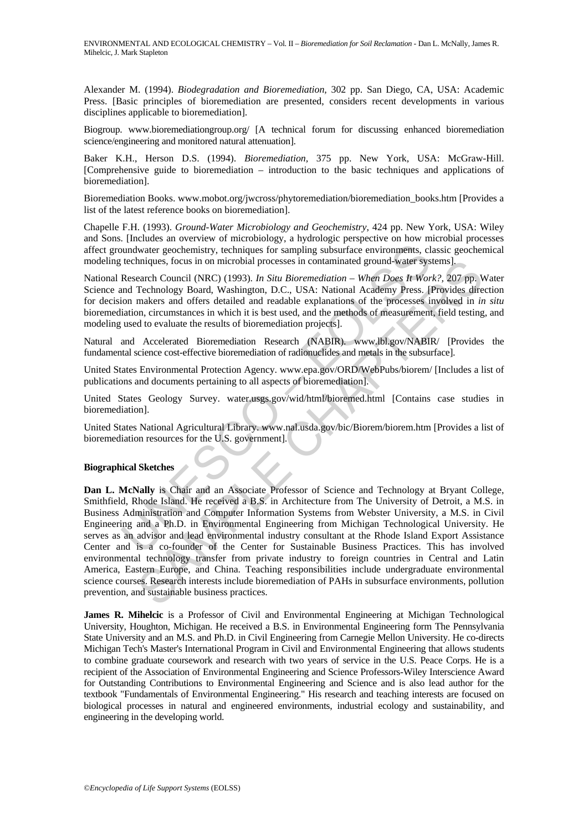Alexander M. (1994). *Biodegradation and Bioremediation,* 302 pp. San Diego, CA, USA: Academic Press. [Basic principles of bioremediation are presented, considers recent developments in various disciplines applicable to bioremediation].

Biogroup. www.bioremediationgroup.org/ [A technical forum for discussing enhanced bioremediation science/engineering and monitored natural attenuation].

Baker K.H., Herson D.S. (1994). *Bioremediation,* 375 pp. New York, USA: McGraw-Hill. [Comprehensive guide to bioremediation – introduction to the basic techniques and applications of bioremediation].

Bioremediation Books. www.mobot.org/jwcross/phytoremediation/bioremediation\_books.htm [Provides a list of the latest reference books on bioremediation].

Chapelle F.H. (1993). *Ground-Water Microbiology and Geochemistry*, 424 pp. New York, USA: Wiley and Sons. [Includes an overview of microbiology, a hydrologic perspective on how microbial processes affect groundwater geochemistry, techniques for sampling subsurface environments, classic geochemical modeling techniques, focus in on microbial processes in contaminated ground-water systems].

National Research Council (NRC) (1993). *In Situ Bioremediation – When Does It Work?,* 207 pp. Water Science and Technology Board, Washington, D.C., USA: National Academy Press. [Provides direction for decision makers and offers detailed and readable explanations of the processes involved in *in situ* bioremediation, circumstances in which it is best used, and the methods of measurement, field testing, and modeling used to evaluate the results of bioremediation projects].

Natural and Accelerated Bioremediation Research (NABIR). www.lbl.gov/NABIR/ [Provides the fundamental science cost-effective bioremediation of radionuclides and metals in the subsurface].

United States Environmental Protection Agency. www.epa.gov/ORD/WebPubs/biorem/ [Includes a list of publications and documents pertaining to all aspects of bioremediation].

United States Geology Survey. water.usgs.gov/wid/html/bioremed.html [Contains case studies in bioremediation].

United States National Agricultural Library. www.nal.usda.gov/bic/Biorem/biorem.htm [Provides a list of bioremediation resources for the U.S. government].

#### **Biographical Sketches**

repairs and moreology and moreology and moreology and moreology and the Rollogy is a conformed in the chindues, Theorem Council (NRC) (1993). *In Situ Bioremediation* – When *Does It Wordm* (Necessarch Council (NRC) (1993) hniques, focus in on microbial processes in contaminated ground-water systems].<br>
earn/Coururi (NRC) (1993). In Stin Bioremediation – When Does H Work?, 2017<br>
Technology Board, Washington, D.C., USA: National Academy Press. **Dan L. McNally** is Chair and an Associate Professor of Science and Technology at Bryant College, Smithfield, Rhode Island. He received a B.S. in Architecture from The University of Detroit, a M.S. in Business Administration and Computer Information Systems from Webster University, a M.S. in Civil Engineering and a Ph.D. in Environmental Engineering from Michigan Technological University. He serves as an advisor and lead environmental industry consultant at the Rhode Island Export Assistance Center and is a co-founder of the Center for Sustainable Business Practices. This has involved environmental technology transfer from private industry to foreign countries in Central and Latin America, Eastern Europe, and China. Teaching responsibilities include undergraduate environmental science courses. Research interests include bioremediation of PAHs in subsurface environments, pollution prevention, and sustainable business practices.

**James R. Mihelcic** is a Professor of Civil and Environmental Engineering at Michigan Technological University, Houghton, Michigan. He received a B.S. in Environmental Engineering form The Pennsylvania State University and an M.S. and Ph.D. in Civil Engineering from Carnegie Mellon University. He co-directs Michigan Tech's Master's International Program in Civil and Environmental Engineering that allows students to combine graduate coursework and research with two years of service in the U.S. Peace Corps. He is a recipient of the Association of Environmental Engineering and Science Professors-Wiley Interscience Award for Outstanding Contributions to Environmental Engineering and Science and is also lead author for the textbook "Fundamentals of Environmental Engineering." His research and teaching interests are focused on biological processes in natural and engineered environments, industrial ecology and sustainability, and engineering in the developing world.